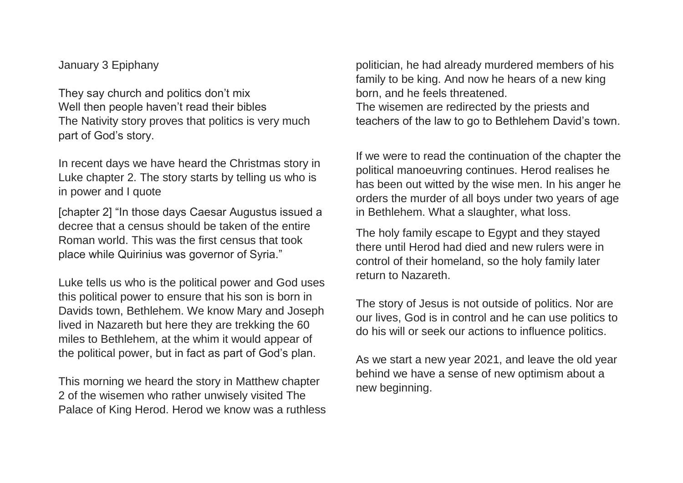January 3 Epiphany

They say church and politics don"t mix Well then people haven't read their bibles The Nativity story proves that politics is very much part of God"s story.

In recent days we have heard the Christmas story in Luke chapter 2. The story starts by telling us who is in power and I quote

[chapter 2] "In those days Caesar Augustus issued a decree that a census should be taken of the entire Roman world. This was the first census that took place while Quirinius was governor of Syria."

Luke tells us who is the political power and God uses this political power to ensure that his son is born in Davids town, Bethlehem. We know Mary and Joseph lived in Nazareth but here they are trekking the 60 miles to Bethlehem, at the whim it would appear of the political power, but in fact as part of God"s plan.

This morning we heard the story in Matthew chapter 2 of the wisemen who rather unwisely visited The Palace of King Herod. Herod we know was a ruthless

politician, he had already murdered members of his family to be king. And now he hears of a new king born, and he feels threatened. The wisemen are redirected by the priests and teachers of the law to go to Bethlehem David"s town.

If we were to read the continuation of the chapter the political manoeuvring continues. Herod realises he has been out witted by the wise men. In his anger he orders the murder of all boys under two years of age in Bethlehem. What a slaughter, what loss.

The holy family escape to Egypt and they stayed there until Herod had died and new rulers were in control of their homeland, so the holy family later return to Nazareth.

The story of Jesus is not outside of politics. Nor are our lives, God is in control and he can use politics to do his will or seek our actions to influence politics.

As we start a new year 2021, and leave the old year behind we have a sense of new optimism about a new beginning.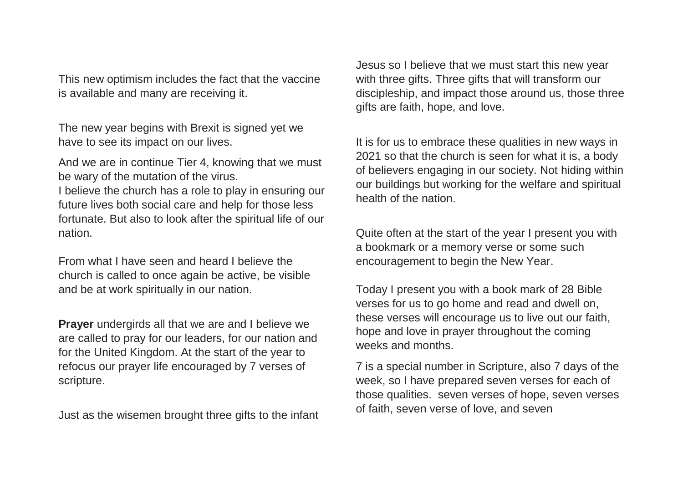This new optimism includes the fact that the vaccine is available and many are receiving it.

The new year begins with Brexit is signed yet we have to see its impact on our lives.

And we are in continue Tier 4, knowing that we must be wary of the mutation of the virus.

I believe the church has a role to play in ensuring our future lives both social care and help for those less fortunate. But also to look after the spiritual life of our nation.

From what I have seen and heard I believe the church is called to once again be active, be visible and be at work spiritually in our nation.

**Prayer** undergirds all that we are and I believe we are called to pray for our leaders, for our nation and for the United Kingdom. At the start of the year to refocus our prayer life encouraged by 7 verses of scripture.

Just as the wisemen brought three gifts to the infant

Jesus so I believe that we must start this new year with three gifts. Three gifts that will transform our discipleship, and impact those around us, those three gifts are faith, hope, and love.

It is for us to embrace these qualities in new ways in 2021 so that the church is seen for what it is, a body of believers engaging in our society. Not hiding within our buildings but working for the welfare and spiritual health of the nation.

Quite often at the start of the year I present you with a bookmark or a memory verse or some such encouragement to begin the New Year.

Today I present you with a book mark of 28 Bible verses for us to go home and read and dwell on, these verses will encourage us to live out our faith, hope and love in prayer throughout the coming weeks and months.

7 is a special number in Scripture, also 7 days of the week, so I have prepared seven verses for each of those qualities. seven verses of hope, seven verses of faith, seven verse of love, and seven